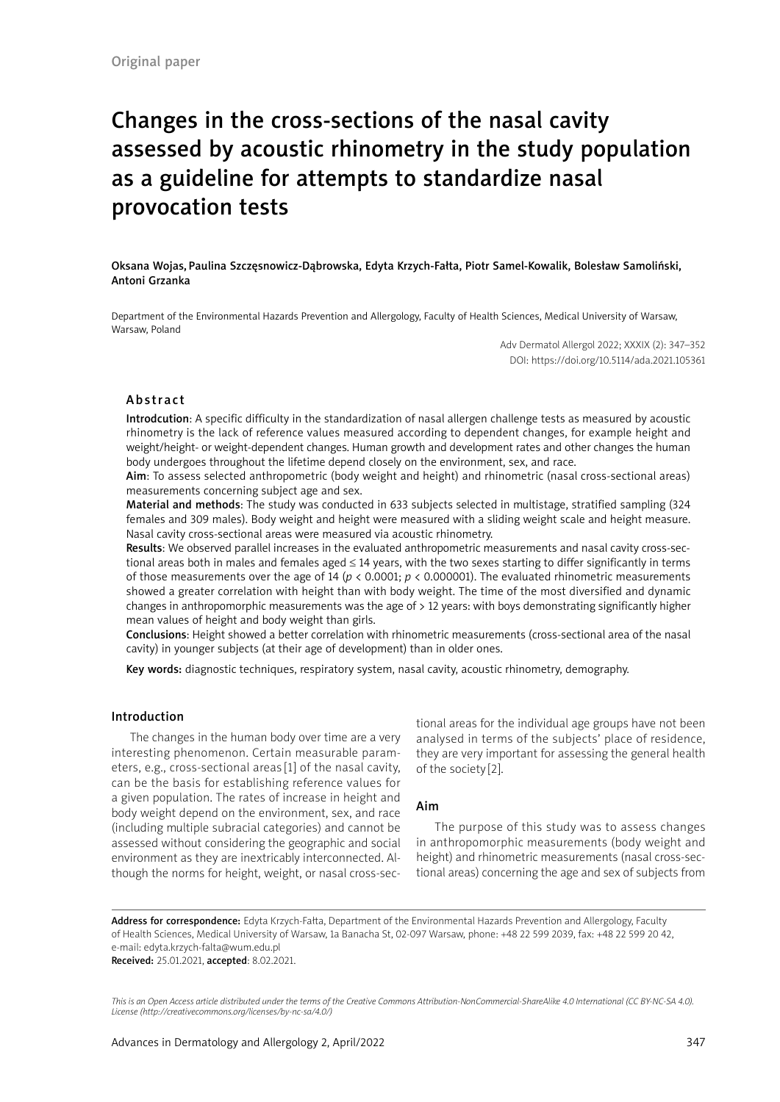# Changes in the cross-sections of the nasal cavity assessed by acoustic rhinometry in the study population as a guideline for attempts to standardize nasal provocation tests

Oksana Wojas, Paulina Szczęsnowicz-Dąbrowska, Edyta Krzych-Fałta, Piotr Samel-Kowalik, Bolesław Samoliński, Antoni Grzanka

Department of the Environmental Hazards Prevention and Allergology, Faculty of Health Sciences, Medical University of Warsaw, Warsaw, Poland

> Adv Dermatol Allergol 2022; XXXIX (2): 347–352 DOI: https://doi.org/10.5114/ada.2021.105361

### Abstract

Introdcution: A specific difficulty in the standardization of nasal allergen challenge tests as measured by acoustic rhinometry is the lack of reference values measured according to dependent changes, for example height and weight/height- or weight-dependent changes. Human growth and development rates and other changes the human body undergoes throughout the lifetime depend closely on the environment, sex, and race.

Aim: To assess selected anthropometric (body weight and height) and rhinometric (nasal cross-sectional areas) measurements concerning subject age and sex.

Material and methods: The study was conducted in 633 subjects selected in multistage, stratified sampling (324 females and 309 males). Body weight and height were measured with a sliding weight scale and height measure. Nasal cavity cross-sectional areas were measured via acoustic rhinometry.

Results: We observed parallel increases in the evaluated anthropometric measurements and nasal cavity cross-sectional areas both in males and females aged ≤ 14 years, with the two sexes starting to differ significantly in terms of those measurements over the age of 14 (*p* < 0.0001; *p* < 0.000001). The evaluated rhinometric measurements showed a greater correlation with height than with body weight. The time of the most diversified and dynamic changes in anthropomorphic measurements was the age of > 12 years: with boys demonstrating significantly higher mean values of height and body weight than girls.

Conclusions: Height showed a better correlation with rhinometric measurements (cross-sectional area of the nasal cavity) in younger subjects (at their age of development) than in older ones.

Key words: diagnostic techniques, respiratory system, nasal cavity, acoustic rhinometry, demography.

## Introduction

The changes in the human body over time are a very interesting phenomenon. Certain measurable parameters, e.g., cross-sectional areas [1] of the nasal cavity, can be the basis for establishing reference values for a given population. The rates of increase in height and body weight depend on the environment, sex, and race (including multiple subracial categories) and cannot be assessed without considering the geographic and social environment as they are inextricably interconnected. Although the norms for height, weight, or nasal cross-sectional areas for the individual age groups have not been analysed in terms of the subjects' place of residence, they are very important for assessing the general health of the society [2].

### Aim

The purpose of this study was to assess changes in anthropomorphic measurements (body weight and height) and rhinometric measurements (nasal cross-sectional areas) concerning the age and sex of subjects from

Address for correspondence: Edyta Krzych-Fałta, Department of the Environmental Hazards Prevention and Allergology, Faculty of Health Sciences, Medical University of Warsaw, 1a Banacha St, 02-097 Warsaw, phone: +48 22 599 2039, fax: +48 22 599 20 42, e-mail: edyta.krzych-falta@wum.edu.pl Received: 25.01.2021, accepted: 8.02.2021.

*This is an Open Access article distributed under the terms of the Creative Commons Attribution-NonCommercial-ShareAlike 4.0 International (CC BY-NC-SA 4.0). License (http://creativecommons.org/licenses/by-nc-sa/4.0/)*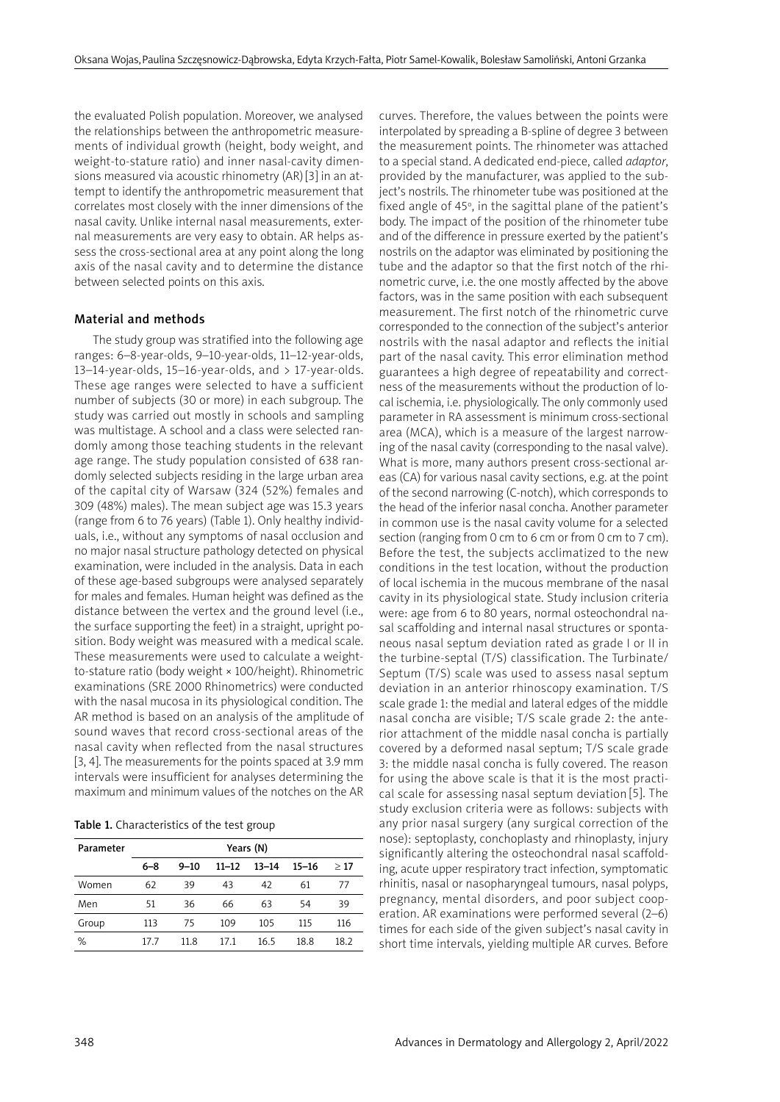the evaluated Polish population. Moreover, we analysed the relationships between the anthropometric measurements of individual growth (height, body weight, and weight-to-stature ratio) and inner nasal-cavity dimensions measured via acoustic rhinometry (AR)[3] in an attempt to identify the anthropometric measurement that correlates most closely with the inner dimensions of the nasal cavity. Unlike internal nasal measurements, external measurements are very easy to obtain. AR helps assess the cross-sectional area at any point along the long axis of the nasal cavity and to determine the distance between selected points on this axis.

### Material and methods

The study group was stratified into the following age ranges: 6–8-year-olds, 9–10-year-olds, 11–12-year-olds, 13–14-year-olds,  $15-16$ -year-olds, and  $> 17$ -year-olds. These age ranges were selected to have a sufficient number of subjects (30 or more) in each subgroup. The study was carried out mostly in schools and sampling was multistage. A school and a class were selected randomly among those teaching students in the relevant age range. The study population consisted of 638 randomly selected subjects residing in the large urban area of the capital city of Warsaw (324 (52%) females and 309 (48%) males). The mean subject age was 15.3 years (range from 6 to 76 years) (Table 1). Only healthy individuals, i.e., without any symptoms of nasal occlusion and no major nasal structure pathology detected on physical examination, were included in the analysis. Data in each of these age-based subgroups were analysed separately for males and females. Human height was defined as the distance between the vertex and the ground level (i.e., the surface supporting the feet) in a straight, upright position. Body weight was measured with a medical scale. These measurements were used to calculate a weightto-stature ratio (body weight × 100/height). Rhinometric examinations (SRE 2000 Rhinometrics) were conducted with the nasal mucosa in its physiological condition. The AR method is based on an analysis of the amplitude of sound waves that record cross-sectional areas of the nasal cavity when reflected from the nasal structures [3, 4]. The measurements for the points spaced at 3.9 mm intervals were insufficient for analyses determining the maximum and minimum values of the notches on the AR

|  | Table 1. Characteristics of the test group |  |  |  |
|--|--------------------------------------------|--|--|--|
|--|--------------------------------------------|--|--|--|

| Parameter | Years (N) |          |           |           |           |      |  |
|-----------|-----------|----------|-----------|-----------|-----------|------|--|
|           | $6 - 8$   | $9 - 10$ | $11 - 12$ | $13 - 14$ | $15 - 16$ | >17  |  |
| Women     | 62        | 39       | 43        | 42        | 61        | 77   |  |
| Men       | 51        | 36       | 66        | 63        | 54        | 39   |  |
| Group     | 113       | 75       | 109       | 105       | 115       | 116  |  |
| %         | 17.7      | 11.8     | 17.1      | 16.5      | 18.8      | 18.2 |  |

curves. Therefore, the values between the points were interpolated by spreading a B-spline of degree 3 between the measurement points. The rhinometer was attached to a special stand. A dedicated end-piece, called *adaptor*, provided by the manufacturer, was applied to the subject's nostrils. The rhinometer tube was positioned at the fixed angle of 45 $\degree$ , in the sagittal plane of the patient's body. The impact of the position of the rhinometer tube and of the difference in pressure exerted by the patient's nostrils on the adaptor was eliminated by positioning the tube and the adaptor so that the first notch of the rhinometric curve, i.e. the one mostly affected by the above factors, was in the same position with each subsequent measurement. The first notch of the rhinometric curve corresponded to the connection of the subject's anterior nostrils with the nasal adaptor and reflects the initial part of the nasal cavity. This error elimination method guarantees a high degree of repeatability and correctness of the measurements without the production of local ischemia, i.e. physiologically. The only commonly used parameter in RA assessment is minimum cross-sectional area (MCA), which is a measure of the largest narrowing of the nasal cavity (corresponding to the nasal valve). What is more, many authors present cross-sectional areas (CA) for various nasal cavity sections, e.g. at the point of the second narrowing (C-notch), which corresponds to the head of the inferior nasal concha. Another parameter in common use is the nasal cavity volume for a selected section (ranging from 0 cm to 6 cm or from 0 cm to 7 cm). Before the test, the subjects acclimatized to the new conditions in the test location, without the production of local ischemia in the mucous membrane of the nasal cavity in its physiological state. Study inclusion criteria were: age from 6 to 80 years, normal osteochondral nasal scaffolding and internal nasal structures or spontaneous nasal septum deviation rated as grade I or II in the turbine-septal (T/S) classification. The Turbinate/ Septum (T/S) scale was used to assess nasal septum deviation in an anterior rhinoscopy examination. T/S scale grade 1: the medial and lateral edges of the middle nasal concha are visible; T/S scale grade 2: the anterior attachment of the middle nasal concha is partially covered by a deformed nasal septum; T/S scale grade 3: the middle nasal concha is fully covered. The reason for using the above scale is that it is the most practical scale for assessing nasal septum deviation [5]. The study exclusion criteria were as follows: subjects with any prior nasal surgery (any surgical correction of the nose): septoplasty, conchoplasty and rhinoplasty, injury significantly altering the osteochondral nasal scaffolding, acute upper respiratory tract infection, symptomatic rhinitis, nasal or nasopharyngeal tumours, nasal polyps, pregnancy, mental disorders, and poor subject cooperation. AR examinations were performed several (2–6) times for each side of the given subject's nasal cavity in short time intervals, yielding multiple AR curves. Before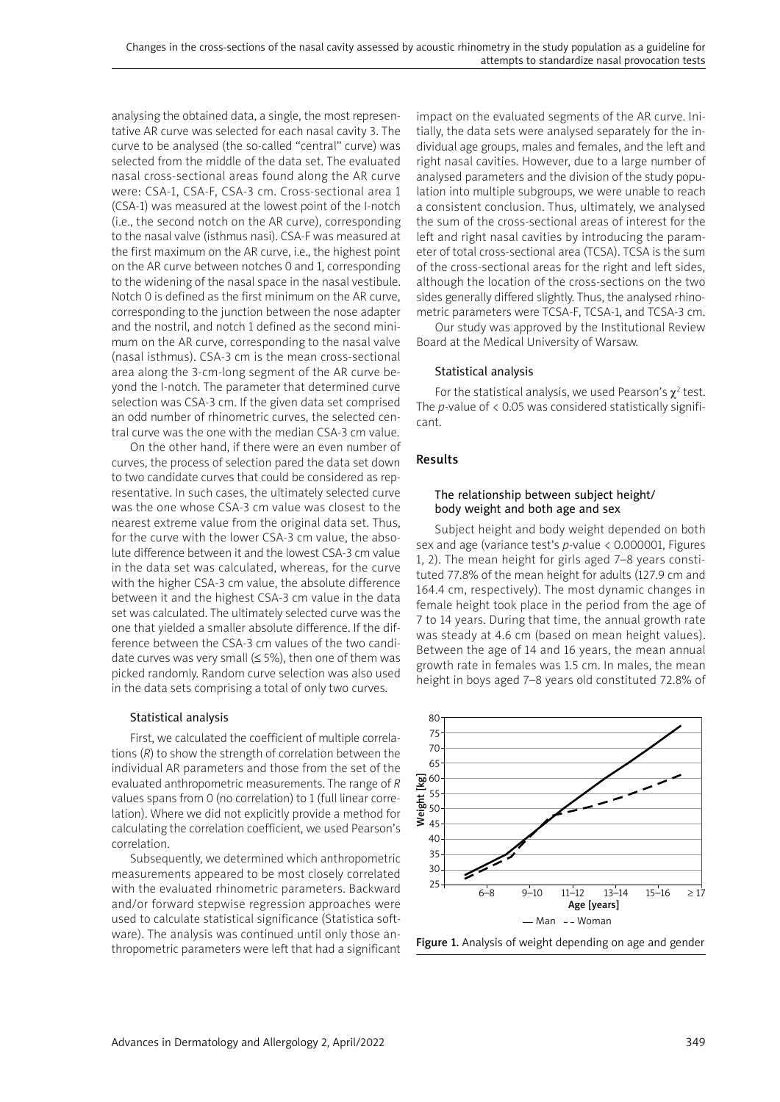analysing the obtained data, a single, the most representative AR curve was selected for each nasal cavity 3. The curve to be analysed (the so-called "central" curve) was selected from the middle of the data set. The evaluated nasal cross-sectional areas found along the AR curve were: CSA-1, CSA-F, CSA-3 cm. Cross-sectional area 1 (CSA-1) was measured at the lowest point of the I-notch (i.e., the second notch on the AR curve), corresponding to the nasal valve (isthmus nasi). CSA-F was measured at the first maximum on the AR curve, i.e., the highest point on the AR curve between notches 0 and 1, corresponding to the widening of the nasal space in the nasal vestibule. Notch 0 is defined as the first minimum on the AR curve, corresponding to the junction between the nose adapter and the nostril, and notch 1 defined as the second minimum on the AR curve, corresponding to the nasal valve (nasal isthmus). CSA-3 cm is the mean cross-sectional area along the 3-cm-long segment of the AR curve beyond the I-notch. The parameter that determined curve selection was CSA-3 cm. If the given data set comprised an odd number of rhinometric curves, the selected central curve was the one with the median CSA-3 cm value.

On the other hand, if there were an even number of curves, the process of selection pared the data set down to two candidate curves that could be considered as representative. In such cases, the ultimately selected curve was the one whose CSA-3 cm value was closest to the nearest extreme value from the original data set. Thus, for the curve with the lower CSA-3 cm value, the absolute difference between it and the lowest CSA-3 cm value in the data set was calculated, whereas, for the curve with the higher CSA-3 cm value, the absolute difference between it and the highest CSA-3 cm value in the data set was calculated. The ultimately selected curve was the one that yielded a smaller absolute difference. If the difference between the CSA-3 cm values of the two candidate curves was very small ( $\leq$  5%), then one of them was picked randomly. Random curve selection was also used in the data sets comprising a total of only two curves.

### Statistical analysis

First, we calculated the coefficient of multiple correlations (*R*) to show the strength of correlation between the individual AR parameters and those from the set of the evaluated anthropometric measurements. The range of *R* values spans from 0 (no correlation) to 1 (full linear correlation). Where we did not explicitly provide a method for calculating the correlation coefficient, we used Pearson's correlation.

Subsequently, we determined which anthropometric measurements appeared to be most closely correlated with the evaluated rhinometric parameters. Backward and/or forward stepwise regression approaches were used to calculate statistical significance (Statistica software). The analysis was continued until only those anthropometric parameters were left that had a significant impact on the evaluated segments of the AR curve. Initially, the data sets were analysed separately for the individual age groups, males and females, and the left and right nasal cavities. However, due to a large number of analysed parameters and the division of the study population into multiple subgroups, we were unable to reach a consistent conclusion. Thus, ultimately, we analysed the sum of the cross-sectional areas of interest for the left and right nasal cavities by introducing the parameter of total cross-sectional area (TCSA). TCSA is the sum of the cross-sectional areas for the right and left sides, although the location of the cross-sections on the two sides generally differed slightly. Thus, the analysed rhinometric parameters were TCSA-F, TCSA-1, and TCSA-3 cm.

Our study was approved by the Institutional Review Board at the Medical University of Warsaw.

## Statistical analysis

For the statistical analysis, we used Pearson's  $\chi^2$  test. The *p*-value of < 0.05 was considered statistically significant.

## Results

## The relationship between subject height/ body weight and both age and sex

Subject height and body weight depended on both sex and age (variance test's *p*-value < 0.000001, Figures 1, 2). The mean height for girls aged 7–8 years constituted 77.8% of the mean height for adults (127.9 cm and 164.4 cm, respectively). The most dynamic changes in female height took place in the period from the age of 7 to 14 years. During that time, the annual growth rate was steady at 4.6 cm (based on mean height values). Between the age of 14 and 16 years, the mean annual growth rate in females was 1.5 cm. In males, the mean height in boys aged 7–8 years old constituted 72.8% of



Figure 1. Analysis of weight depending on age and gender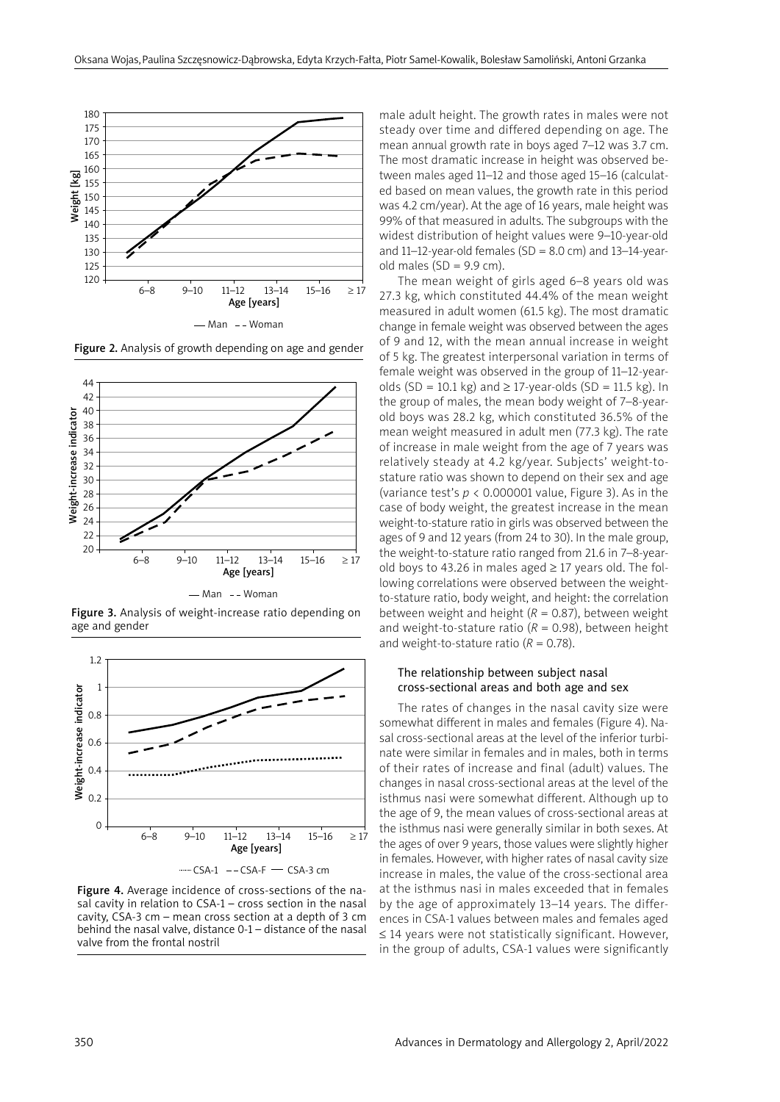

Figure 2. Analysis of growth depending on age and gender



Figure 3. Analysis of weight-increase ratio depending on age and gender



Figure 4. Average incidence of cross-sections of the nasal cavity in relation to CSA-1 – cross section in the nasal cavity, CSA-3 cm – mean cross section at a depth of 3 cm behind the nasal valve, distance 0-1 – distance of the nasal valve from the frontal nostril

male adult height. The growth rates in males were not steady over time and differed depending on age. The mean annual growth rate in boys aged 7–12 was 3.7 cm. The most dramatic increase in height was observed between males aged 11–12 and those aged 15–16 (calculated based on mean values, the growth rate in this period was 4.2 cm/year). At the age of 16 years, male height was 99% of that measured in adults. The subgroups with the widest distribution of height values were 9–10-year-old and  $11-12$ -year-old females (SD = 8.0 cm) and  $13-14$ -yearold males  $(SD = 9.9$  cm).

The mean weight of girls aged 6–8 years old was 27.3 kg, which constituted 44.4% of the mean weight measured in adult women (61.5 kg). The most dramatic change in female weight was observed between the ages of 9 and 12, with the mean annual increase in weight of 5 kg. The greatest interpersonal variation in terms of female weight was observed in the group of 11–12-yearolds (SD = 10.1 kg) and  $\geq$  17-year-olds (SD = 11.5 kg). In the group of males, the mean body weight of 7–8-yearold boys was 28.2 kg, which constituted 36.5% of the mean weight measured in adult men (77.3 kg). The rate of increase in male weight from the age of 7 years was relatively steady at 4.2 kg/year. Subjects' weight-tostature ratio was shown to depend on their sex and age (variance test's  $p < 0.000001$  value, Figure 3). As in the case of body weight, the greatest increase in the mean weight-to-stature ratio in girls was observed between the ages of 9 and 12 years (from 24 to 30). In the male group, the weight-to-stature ratio ranged from 21.6 in 7–8-yearold boys to 43.26 in males aged ≥ 17 years old. The following correlations were observed between the weightto-stature ratio, body weight, and height: the correlation between weight and height  $(R = 0.87)$ , between weight and weight-to-stature ratio  $(R = 0.98)$ , between height and weight-to-stature ratio  $(R = 0.78)$ .

## The relationship between subject nasal cross-sectional areas and both age and sex

The rates of changes in the nasal cavity size were somewhat different in males and females (Figure 4). Nasal cross-sectional areas at the level of the inferior turbinate were similar in females and in males, both in terms of their rates of increase and final (adult) values. The changes in nasal cross-sectional areas at the level of the isthmus nasi were somewhat different. Although up to the age of 9, the mean values of cross-sectional areas at the isthmus nasi were generally similar in both sexes. At the ages of over 9 years, those values were slightly higher in females. However, with higher rates of nasal cavity size increase in males, the value of the cross-sectional area at the isthmus nasi in males exceeded that in females by the age of approximately 13–14 years. The differences in CSA-1 values between males and females aged ≤ 14 years were not statistically significant. However, in the group of adults, CSA-1 values were significantly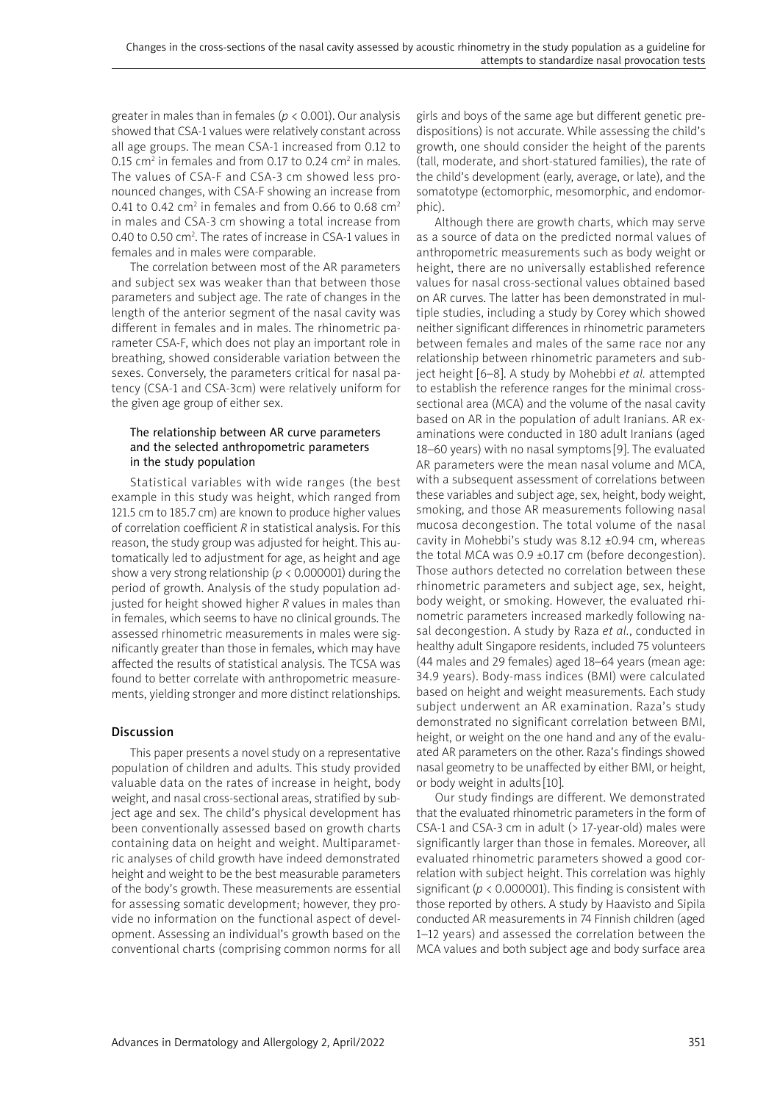greater in males than in females (*p* < 0.001). Our analysis showed that CSA-1 values were relatively constant across all age groups. The mean CSA-1 increased from 0.12 to 0.15 cm<sup>2</sup> in females and from 0.17 to 0.24 cm<sup>2</sup> in males. The values of CSA-F and CSA-3 cm showed less pronounced changes, with CSA-F showing an increase from 0.41 to 0.42 cm<sup>2</sup> in females and from 0.66 to 0.68 cm<sup>2</sup> in males and CSA-3 cm showing a total increase from 0.40 to 0.50 cm<sup>2</sup>. The rates of increase in CSA-1 values in females and in males were comparable.

The correlation between most of the AR parameters and subject sex was weaker than that between those parameters and subject age. The rate of changes in the length of the anterior segment of the nasal cavity was different in females and in males. The rhinometric parameter CSA-F, which does not play an important role in breathing, showed considerable variation between the sexes. Conversely, the parameters critical for nasal patency (CSA-1 and CSA-3cm) were relatively uniform for the given age group of either sex.

## The relationship between AR curve parameters and the selected anthropometric parameters in the study population

Statistical variables with wide ranges (the best example in this study was height, which ranged from 121.5 cm to 185.7 cm) are known to produce higher values of correlation coefficient *R* in statistical analysis. For this reason, the study group was adjusted for height. This automatically led to adjustment for age, as height and age show a very strong relationship (*p* < 0.000001) during the period of growth. Analysis of the study population adjusted for height showed higher *R* values in males than in females, which seems to have no clinical grounds. The assessed rhinometric measurements in males were significantly greater than those in females, which may have affected the results of statistical analysis. The TCSA was found to better correlate with anthropometric measurements, yielding stronger and more distinct relationships.

# Discussion

This paper presents a novel study on a representative population of children and adults. This study provided valuable data on the rates of increase in height, body weight, and nasal cross-sectional areas, stratified by subject age and sex. The child's physical development has been conventionally assessed based on growth charts containing data on height and weight. Multiparametric analyses of child growth have indeed demonstrated height and weight to be the best measurable parameters of the body's growth. These measurements are essential for assessing somatic development; however, they provide no information on the functional aspect of development. Assessing an individual's growth based on the conventional charts (comprising common norms for all girls and boys of the same age but different genetic predispositions) is not accurate. While assessing the child's growth, one should consider the height of the parents (tall, moderate, and short-statured families), the rate of the child's development (early, average, or late), and the somatotype (ectomorphic, mesomorphic, and endomorphic).

Although there are growth charts, which may serve as a source of data on the predicted normal values of anthropometric measurements such as body weight or height, there are no universally established reference values for nasal cross-sectional values obtained based on AR curves. The latter has been demonstrated in multiple studies, including a study by Corey which showed neither significant differences in rhinometric parameters between females and males of the same race nor any relationship between rhinometric parameters and subject height [6–8]. A study by Mohebbi *et al.* attempted to establish the reference ranges for the minimal crosssectional area (MCA) and the volume of the nasal cavity based on AR in the population of adult Iranians. AR examinations were conducted in 180 adult Iranians (aged 18–60 years) with no nasal symptoms [9]. The evaluated AR parameters were the mean nasal volume and MCA, with a subsequent assessment of correlations between these variables and subject age, sex, height, body weight, smoking, and those AR measurements following nasal mucosa decongestion. The total volume of the nasal cavity in Mohebbi's study was 8.12 ±0.94 cm, whereas the total MCA was  $0.9 \pm 0.17$  cm (before decongestion). Those authors detected no correlation between these rhinometric parameters and subject age, sex, height, body weight, or smoking. However, the evaluated rhinometric parameters increased markedly following nasal decongestion. A study by Raza *et al.*, conducted in healthy adult Singapore residents, included 75 volunteers (44 males and 29 females) aged 18–64 years (mean age: 34.9 years). Body-mass indices (BMI) were calculated based on height and weight measurements. Each study subject underwent an AR examination. Raza's study demonstrated no significant correlation between BMI, height, or weight on the one hand and any of the evaluated AR parameters on the other. Raza's findings showed nasal geometry to be unaffected by either BMI, or height, or body weight in adults [10].

Our study findings are different. We demonstrated that the evaluated rhinometric parameters in the form of CSA-1 and CSA-3 cm in adult (> 17-year-old) males were significantly larger than those in females. Moreover, all evaluated rhinometric parameters showed a good correlation with subject height. This correlation was highly significant ( $p < 0.000001$ ). This finding is consistent with those reported by others. A study by Haavisto and Sipila conducted AR measurements in 74 Finnish children (aged 1–12 years) and assessed the correlation between the MCA values and both subject age and body surface area